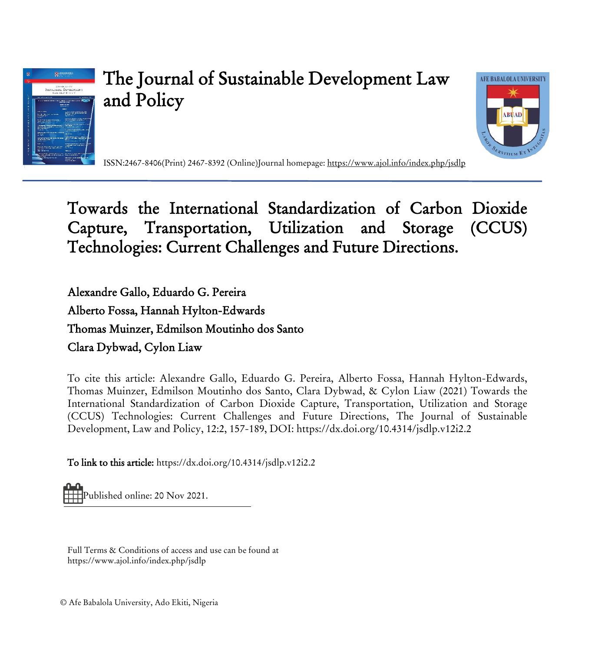

# The Journal of Sustainable Development Law and Policy



ISSN:2467-8406(Print) 2467-8392 (Online)Journal homepage:<https://www.ajol.info/index.php/jsdlp>

## Towards the International Standardization of Carbon Dioxide Capture, Transportation, Utilization and Storage (CCUS) Technologies: Current Challenges and Future Directions.

Alexandre Gallo, Eduardo G. Pereira Alberto Fossa, Hannah Hylton-Edwards Thomas Muinzer, Edmilson Moutinho dos Santo Clara Dybwad, Cylon Liaw

To cite this article: Alexandre Gallo, Eduardo G. Pereira, Alberto Fossa, Hannah Hylton-Edwards, Thomas Muinzer, Edmilson Moutinho dos Santo, Clara Dybwad, & Cylon Liaw (2021) Towards the International Standardization of Carbon Dioxide Capture, Transportation, Utilization and Storage (CCUS) Technologies: Current Challenges and Future Directions, The Journal of Sustainable Development, Law and Policy, 12:2, 157-189, DOI: <https://dx.doi.org/10.4314/jsdlp.v12i2.2>

To link to this article[: https://dx.doi.org/10.4314/jsdlp.v12i2.2](https://dx.doi.org/10.4314/jsdlp.v12i2.2)

Published online: 20 Nov 2021.

Full Terms & Conditions of access and use can be found at https://www.ajol.info/index.php/jsdlp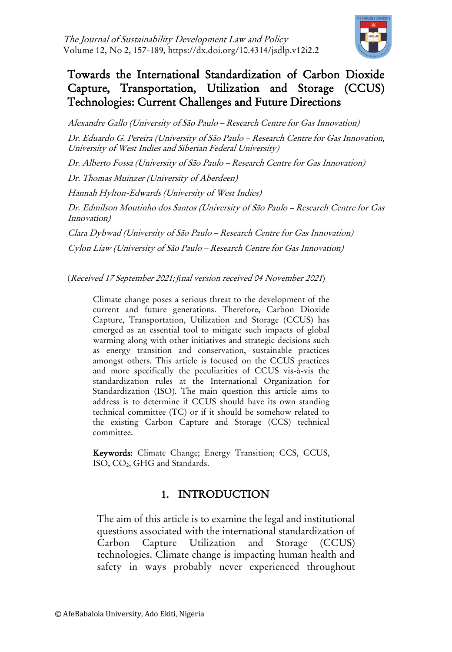

## Towards the International Standardization of Carbon Dioxide Capture, Transportation, Utilization and Storage (CCUS) Technologies: Current Challenges and Future Directions

Alexandre Gallo (University of São Paulo – Research Centre for Gas Innovation)

Dr. Eduardo G. Pereira (University of São Paulo – Research Centre for Gas Innovation, University of West Indies and Siberian Federal University)

Dr. Alberto Fossa (University of São Paulo – Research Centre for Gas Innovation)

Dr. Thomas Muinzer (University of Aberdeen)

Hannah Hylton-Edwards (University of West Indies)

Dr. Edmilson Moutinho dos Santos (University of São Paulo – Research Centre for Gas Innovation)

Clara Dybwad (University of São Paulo – Research Centre for Gas Innovation) Cylon Liaw (University of São Paulo – Research Centre for Gas Innovation)

<span id="page-1-0"></span>(Received 17 September 2021; *fi*nal version received 04 November 2021)

Climate change poses a serious threat to the development of the current and future generations. Therefore, Carbon Dioxide Capture, Transportation, Utilization and Storage (CCUS) has emerged as an essential tool to mitigate such impacts of global warming along with other initiatives and strategic decisions such as energy transition and conservation, sustainable practices amongst others. This article is focused on the CCUS practices and more specifically the peculiarities of CCUS vis-à-vis the standardization rules at the International Organization for Standardization (ISO). The main question this article aims to address is to determine if CCUS should have its own standing technical committee (TC) or if it should be somehow related to the existing Carbon Capture and Storage (CCS) technical committee.

Keywords: Climate Change; Energy Transition; CCS, CCUS, ISO, CO2, GHG and Standards.

## 1. INTRODUCTION

The aim of this article is to examine the legal and institutional questions associated with the international standardization of Carbon Capture Utilization and Storage (CCUS) technologies. Climate change is impacting human health and safety in ways probably never experienced throughout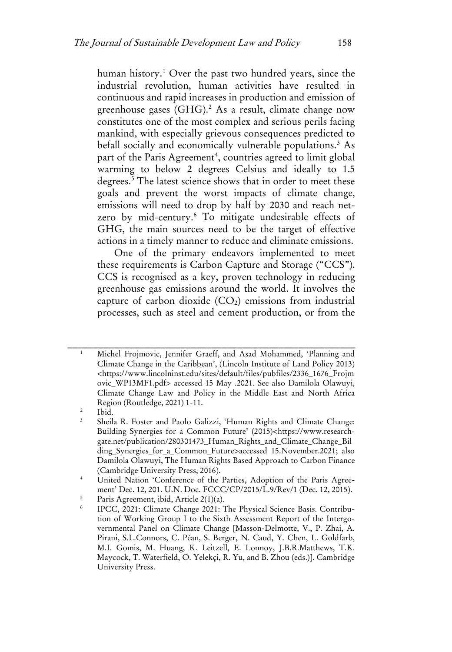human history.<sup>[1](#page-1-0)</sup> Over the past two hundred years, since the industrial revolution, human activities have resulted in continuous and rapid increases in production and emission of greenhouse gases (GHG).<sup>2</sup> As a result, climate change now constitutes one of the most complex and serious perils facing mankind, with especially grievous consequences predicted to befall socially and economically vulnerable populations.<sup>[3](#page-2-1)</sup> As part of the Paris Agreement<sup>[4](#page-2-2)</sup>, countries agreed to limit global warming to below 2 degrees Celsius and ideally to 1.5 degrees.<sup>[5](#page-2-3)</sup> The latest science shows that in order to meet these goals and prevent the worst impacts of climate change, emissions will need to drop by half by 2030 and reach netzero by mid-century[.6](#page-2-4) To mitigate undesirable effects of GHG, the main sources need to be the target of effective actions in a timely manner to reduce and eliminate emissions.

One of the primary endeavors implemented to meet these requirements is Carbon Capture and Storage ("CCS"). CCS is recognised as a key, proven technology in reducing greenhouse gas emissions around the world. It involves the capture of carbon dioxide  $(CO_2)$  emissions from industrial processes, such as steel and cement production, or from the

<sup>1</sup> Michel Frojmovic, Jennifer Graeff, and Asad Mohammed, 'Planning and Climate Change in the Caribbean', (Lincoln Institute of Land Policy 2013) <https://www.lincolninst.edu/sites/default/files/pubfiles/2336\_1676\_Frojm ovic\_WP13MF1.pdf> accessed 15 May .2021. See also Damilola Olawuyi, Climate Change Law and Policy in the Middle East and North Africa Region (Routledge, 2021) 1-11.

<span id="page-2-1"></span><span id="page-2-0"></span> $\frac{2}{3}$  Ibid.

<sup>3</sup> Sheila R. Foster and Paolo Galizzi, 'Human Rights and Climate Change: Building Synergies for a Common Future' (2015)<https://www.researchgate.net/publication/280301473\_Human\_Rights\_and\_Climate\_Change\_Bil ding\_Synergies\_for\_a\_Common\_Future>accessed 15.November.2021; also Damilola Olawuyi, The Human Rights Based Approach to Carbon Finance (Cambridge University Press, 2016).

<span id="page-2-2"></span><sup>4</sup> United Nation 'Conference of the Parties, Adoption of the Paris Agreement' Dec. 12, 201. U.N. Doc. FCCC/CP/2015/L.9/Rev/1 (Dec. 12, 2015).

<span id="page-2-4"></span><span id="page-2-3"></span><sup>&</sup>lt;sup>5</sup> Paris Agreement, ibid, Article 2(1)(a).

<sup>6</sup> IPCC, 2021: Climate Change 2021: The Physical Science Basis. Contribution of Working Group I to the Sixth Assessment Report of the Intergovernmental Panel on Climate Change [Masson-Delmotte, V., P. Zhai, A. Pirani, S.L.Connors, C. Péan, S. Berger, N. Caud, Y. Chen, L. Goldfarb, M.I. Gomis, M. Huang, K. Leitzell, E. Lonnoy, J.B.R.Matthews, T.K. Maycock, T. Waterfield, O. Yelekçi, R. Yu, and B. Zhou (eds.)]. Cambridge University Press.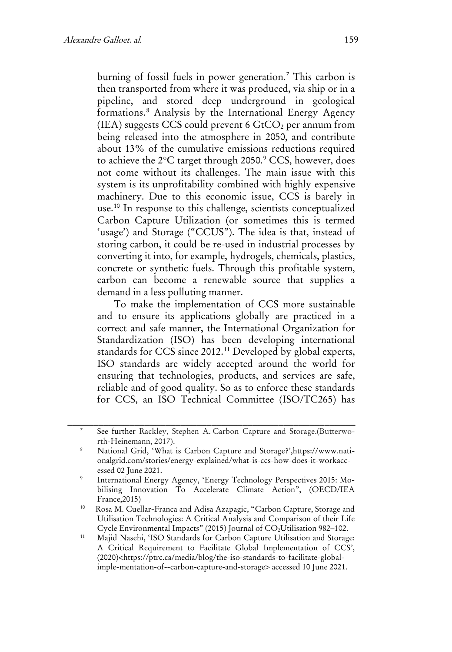burning of fossil fuels in power generation.<sup>[7](#page-3-0)</sup> This carbon is then transported from where it was produced, via ship or in a pipeline, and stored deep underground in geological formations.[8](#page-3-1) Analysis by the International Energy Agency (IEA) suggests CCS could prevent 6  $GtCO<sub>2</sub>$  per annum from being released into the atmosphere in 2050, and contribute about 13% of the cumulative emissions reductions required to achieve the 2°C target through 2050.<sup>[9](#page-3-2)</sup> CCS, however, does not come without its challenges. The main issue with this system is its unprofitability combined with highly expensive machinery. Due to this economic issue, CCS is barely in use.[10](#page-3-3) In response to this challenge, scientists conceptualized Carbon Capture Utilization (or sometimes this is termed 'usage') and Storage ("CCUS"). The idea is that, instead of storing carbon, it could be re-used in industrial processes by converting it into, for example, hydrogels, chemicals, plastics, concrete or synthetic fuels. Through this profitable system, carbon can become a renewable source that supplies a demand in a less polluting manner.

To make the implementation of CCS more sustainable and to ensure its applications globally are practiced in a correct and safe manner, the International Organization for Standardization (ISO) has been developing international standards for CCS since 2012.[11](#page-3-4) Developed by global experts, ISO standards are widely accepted around the world for ensuring that technologies, products, and services are safe, reliable and of good quality. So as to enforce these standards for CCS, an ISO Technical Committee (ISO/TC265) has

<span id="page-3-0"></span>See further Rackley, Stephen A. Carbon Capture and Storage.(Butterworth-Heinemann, 2017).

<span id="page-3-1"></span><sup>8</sup> National Grid, 'What is Carbon Capture and Storage?',https://www.nationalgrid.com/stories/energy-explained/what-is-ccs-how-does-it-workaccessed 02 June 2021.

<span id="page-3-2"></span><sup>9</sup> International Energy Agency, 'Energy Technology Perspectives 2015: Mobilising Innovation To Accelerate Climate Action", (OECD/IEA France,2015)

<span id="page-3-3"></span><sup>10</sup> Rosa M. Cuellar-Franca and Adisa Azapagic, "Carbon Capture, Storage and Utilisation Technologies: A Critical Analysis and Comparison of their Life Cycle Environmental Impacts" (2015) Journal of CO<sub>2</sub>Utilisation 982-102.

<span id="page-3-4"></span><sup>&</sup>lt;sup>11</sup> Majid Nasehi, 'ISO Standards for Carbon Capture Utilisation and Storage: A Critical Requirement to Facilitate Global Implementation of CCS', (2020)<https://ptrc.ca/media/blog/the-iso-standards-to-facilitate-globalimple-mentation-of--carbon-capture-and-storage> accessed 10 June 2021.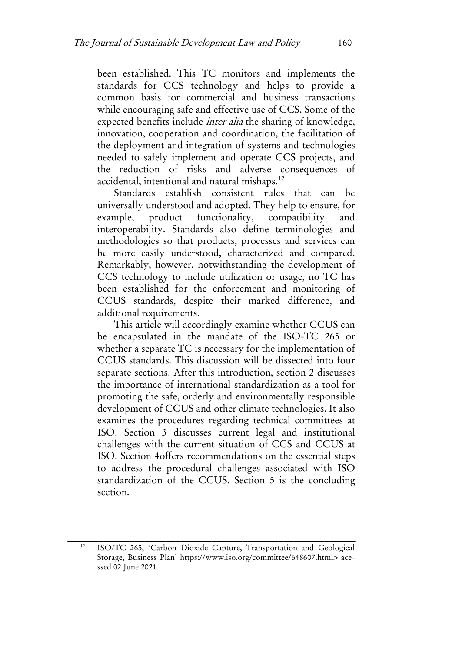been established. This TC monitors and implements the standards for CCS technology and helps to provide a common basis for commercial and business transactions while encouraging safe and effective use of CCS. Some of the expected benefits include inter alia the sharing of knowledge, innovation, cooperation and coordination, the facilitation of the deployment and integration of systems and technologies needed to safely implement and operate CCS projects, and the reduction of risks and adverse consequences of accidental, intentional and natural mishaps.[12](#page-4-0)

Standards establish consistent rules that can be universally understood and adopted. They help to ensure, for example, product functionality, compatibility and interoperability. Standards also define terminologies and methodologies so that products, processes and services can be more easily understood, characterized and compared. Remarkably, however, notwithstanding the development of CCS technology to include utilization or usage, no TC has been established for the enforcement and monitoring of CCUS standards, despite their marked difference, and additional requirements.

This article will accordingly examine whether CCUS can be encapsulated in the mandate of the ISO-TC 265 or whether a separate TC is necessary for the implementation of CCUS standards. This discussion will be dissected into four separate sections. After this introduction, section 2 discusses the importance of international standardization as a tool for promoting the safe, orderly and environmentally responsible development of CCUS and other climate technologies. It also examines the procedures regarding technical committees at ISO. Section 3 discusses current legal and institutional challenges with the current situation of CCS and CCUS at ISO. Section 4offers recommendations on the essential steps to address the procedural challenges associated with ISO standardization of the CCUS. Section 5 is the concluding section.

<span id="page-4-0"></span><sup>12</sup> ISO/TC 265, 'Carbon Dioxide Capture, Transportation and Geological Storage, Business Plan' https://www.iso.org/committee/648607.html> acessed 02 June 2021.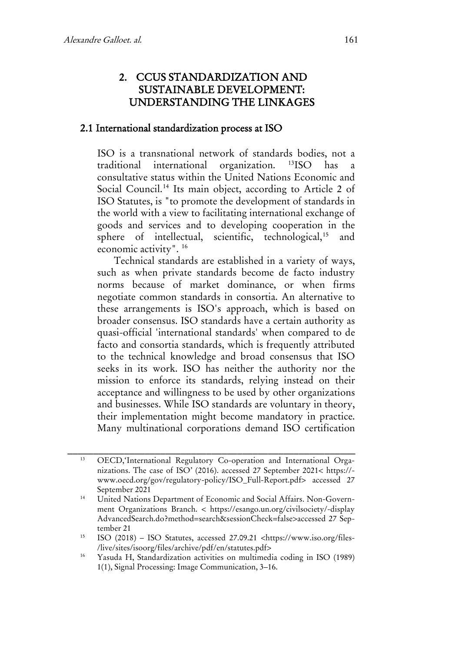## 2. CCUS STANDARDIZATION AND SUSTAINABLE DEVELOPMENT: UNDERSTANDING THE LINKAGES

#### 2.1 International standardization process at ISO

ISO is a transnational network of standards bodies, not a traditional international organization. [13I](#page-5-0)SO has a consultative status within the United Nations Economic and Social Council.<sup>[14](#page-5-1)</sup> Its main object, according to Article 2 of ISO Statutes, is "to promote the development of standards in the world with a view to facilitating international exchange of goods and services and to developing cooperation in the sphere of intellectual, scientific, technological,<sup>[15](#page-5-2)</sup> and economic activity". [16](#page-5-3)

Technical standards are established in a variety of ways, such as when private standards become de facto industry norms because of market dominance, or when firms negotiate common standards in consortia. An alternative to these arrangements is ISO's approach, which is based on broader consensus. ISO standards have a certain authority as quasi-official 'international standards' when compared to de facto and consortia standards, which is frequently attributed to the technical knowledge and broad consensus that ISO seeks in its work. ISO has neither the authority nor the mission to enforce its standards, relying instead on their acceptance and willingness to be used by other organizations and businesses. While ISO standards are voluntary in theory, their implementation might become mandatory in practice. Many multinational corporations demand ISO certification

<span id="page-5-0"></span><sup>13</sup> OECD,'International Regulatory Co-operation and International Organizations. The case of ISO' (2016). accessed 27 September 2021< https:// www.oecd.org/gov/regulatory-policy/ISO\_Full-Report.pdf> accessed 27 September 2021

<span id="page-5-1"></span><sup>&</sup>lt;sup>14</sup> United Nations Department of Economic and Social Affairs. Non-Government Organizations Branch. < https://esango.un.org/civilsociety/-display AdvancedSearch.do?method=search&sessionCheck=false>accessed 27 September 21

<span id="page-5-2"></span><sup>15</sup> ISO (2018) – ISO Statutes, accessed 27.09.21 <https://www.iso.org/files- /live/sites/isoorg/files/archive/pdf/en/statutes.pdf>

<span id="page-5-3"></span><sup>16</sup> Yasuda H, Standardization activities on multimedia coding in ISO (1989) 1(1), Signal Processing: Image Communication, 3–16.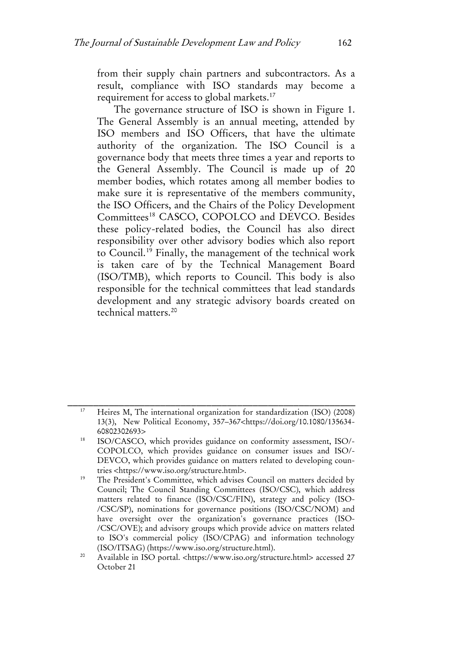from their supply chain partners and subcontractors. As a result, compliance with ISO standards may become a requirement for access to global markets.[17](#page-6-0)

The governance structure of ISO is shown in Figure 1. The General Assembly is an annual meeting, attended by ISO members and ISO Officers, that have the ultimate authority of the organization. The ISO Council is a governance body that meets three times a year and reports to the General Assembly. The Council is made up of 20 member bodies, which rotates among all member bodies to make sure it is representative of the members community, the ISO Officers, and the Chairs of the Policy Development Committees<sup>[18](#page-6-1)</sup> CASCO, COPOLCO and DEVCO. Besides these policy-related bodies, the Council has also direct responsibility over other advisory bodies which also report to Council.[19](#page-6-2) Finally, the management of the technical work is taken care of by the Technical Management Board (ISO/TMB), which reports to Council. This body is also responsible for the technical committees that lead standards development and any strategic advisory boards created on technical matters<sup>[20](#page-6-3)</sup>

<span id="page-6-0"></span><sup>17</sup> Heires M, The international organization for standardization (ISO) (2008) 13(3), New Political Economy, 357–367<https://doi.org/10.1080/135634- 60802302693>

<span id="page-6-1"></span><sup>18</sup> ISO/CASCO, which provides guidance on conformity assessment, ISO/- COPOLCO, which provides guidance on consumer issues and ISO/- DEVCO, which provides guidance on matters related to developing countries <https://www.iso.org/structure.html>.

<span id="page-6-2"></span>The President's Committee, which advises Council on matters decided by Council; The Council Standing Committees (ISO/CSC), which address matters related to finance (ISO/CSC/FIN), strategy and policy (ISO- /CSC/SP), nominations for governance positions (ISO/CSC/NOM) and have oversight over the organization's governance practices (ISO- /CSC/OVE); and advisory groups which provide advice on matters related to ISO's commercial policy (ISO/CPAG) and information technology (ISO/ITSAG) (https://www.iso.org/structure.html).

<span id="page-6-3"></span><sup>&</sup>lt;sup>20</sup> Available in ISO portal. <https://www.iso.org/structure.html> accessed 27 October 21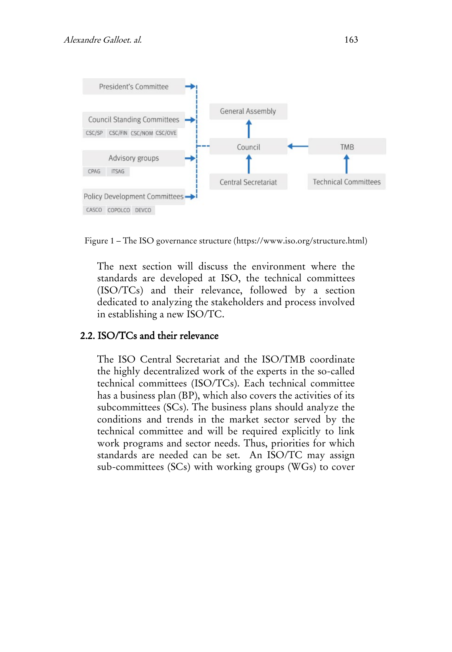

Figure 1 – The ISO governance structure (https://www.iso.org/structure.html)

The next section will discuss the environment where the standards are developed at ISO, the technical committees (ISO/TCs) and their relevance, followed by a section dedicated to analyzing the stakeholders and process involved in establishing a new ISO/TC.

#### 2.2. ISO/TCs and their relevance

The ISO Central Secretariat and the ISO/TMB coordinate the highly decentralized work of the experts in the so-called technical committees (ISO/TCs). Each technical committee has a business plan (BP), which also covers the activities of its subcommittees (SCs). The business plans should analyze the conditions and trends in the market sector served by the technical committee and will be required explicitly to link work programs and sector needs. Thus, priorities for which standards are needed can be set. An ISO/TC may assign sub-committees (SCs) with working groups (WGs) to cover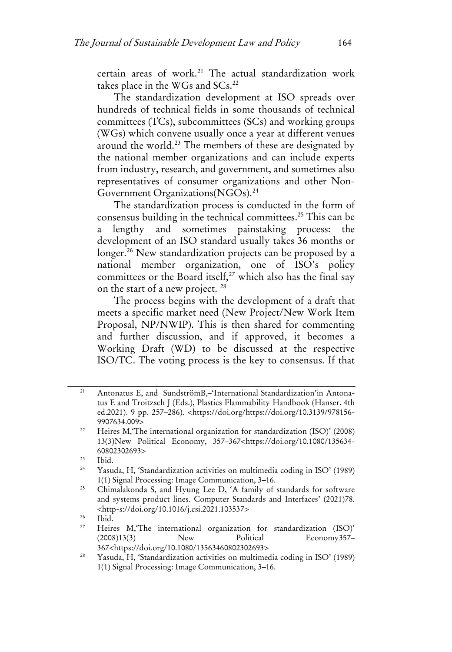certain areas of work.<sup>21</sup> The actual standardization work takes place in the WGs and  $SCs.<sup>22</sup>$  $SCs.<sup>22</sup>$  $SCs.<sup>22</sup>$ 

The standardization development at ISO spreads over hundreds of technical fields in some thousands of technical committees (TCs), subcommittees (SCs) and working groups (WGs) which convene usually once a year at different venues around the world.<sup>[23](#page-8-2)</sup> The members of these are designated by the national member organizations and can include experts from industry, research, and government, and sometimes also representatives of consumer organizations and other Non-Government Organizations(NGOs).[24](#page-8-3)

The standardization process is conducted in the form of consensus building in the technical committees.[25](#page-8-4) This can be a lengthy and sometimes painstaking process: the development of an ISO standard usually takes 36 months or longer.<sup>[26](#page-8-5)</sup> New standardization projects can be proposed by a national member organization, one of ISO's policy committees or the Board itself, $27$  which also has the final say on the start of a new project. [28](#page-8-7)

The process begins with the development of a draft that meets a specific market need (New Project/New Work Item Proposal, NP/NWIP). This is then shared for commenting and further discussion, and if approved, it becomes a Working Draft (WD) to be discussed at the respective ISO/TC. The voting process is the key to consensus. If that

<span id="page-8-0"></span><sup>21</sup> Antonatus E, and SundströmB,–'International Standardization'in Antonatus E and Troitzsch J (Eds.), Plastics Flammability Handbook (Hanser. 4th ed.2021). 9 pp. 257–286). <https://doi.org/https://doi.org/10.3139/978156- 9907634.009>

<span id="page-8-1"></span><sup>&</sup>lt;sup>22</sup> Heires M, The international organization for standardization (ISO)' (2008) 13(3)New Political Economy, 357–367<https://doi.org/10.1080/135634- 60802302693>

<span id="page-8-3"></span><span id="page-8-2"></span> $\frac{23}{24}$  Ibid.

Yasuda, H, 'Standardization activities on multimedia coding in ISO' (1989) 1(1) Signal Processing: Image Communication, 3–16.

<span id="page-8-4"></span><sup>&</sup>lt;sup>25</sup> Chimalakonda S, and Hyung Lee D, 'A family of standards for software and systems product lines. Computer Standards and Interfaces' (2021)78. <http-s://doi.org/10.1016/j.csi.2021.103537>

<span id="page-8-6"></span><span id="page-8-5"></span> $\frac{26}{27}$  Ibid.

Heires M, The international organization for standardization (ISO)' (2008)13(3) New Political Economy357– 367<https://doi.org/10.1080/13563460802302693>

<span id="page-8-7"></span><sup>28</sup> Yasuda, H, 'Standardization activities on multimedia coding in ISO' (1989) 1(1) Signal Processing: Image Communication, 3–16.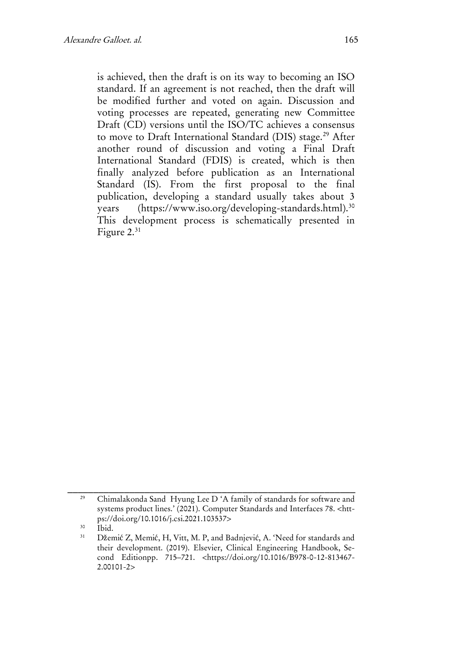is achieved, then the draft is on its way to becoming an ISO standard. If an agreement is not reached, then the draft will be modified further and voted on again. Discussion and voting processes are repeated, generating new Committee Draft (CD) versions until the ISO/TC achieves a consensus to move to Draft International Standard (DIS) stage.<sup>[29](#page-9-0)</sup> After another round of discussion and voting a Final Draft International Standard (FDIS) is created, which is then finally analyzed before publication as an International Standard (IS). From the first proposal to the final publication, developing a standard usually takes about 3 years (https://www.iso.org/developing-standards.html).<sup>[30](#page-9-1)</sup> This development process is schematically presented in Figure 2.<sup>[31](#page-9-2)</sup>

<span id="page-9-0"></span><sup>29</sup> Chimalakonda Sand Hyung Lee D 'A family of standards for software and systems product lines.' (2021). Computer Standards and Interfaces 78. <https://doi.org/10.1016/j.csi.2021.103537>

<span id="page-9-2"></span><span id="page-9-1"></span> $\frac{30}{31}$  Ibid.

Džemić Z, Memić, H, Vitt, M. P, and Badnjević, A. 'Need for standards and their development. (2019). Elsevier, Clinical Engineering Handbook, Second Editionpp. 715–721. <https://doi.org/10.1016/B978-0-12-813467- 2.00101-2>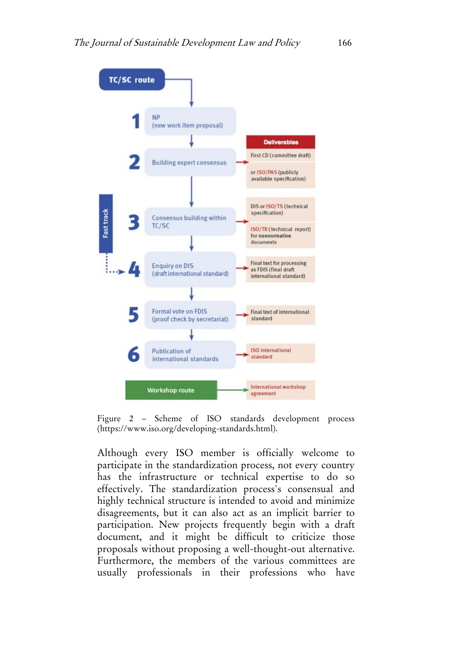

Figure 2 – Scheme of ISO standards development process [\(https://www.iso.org/developing-standards.html\)](https://www.iso.org/developing-standards.html).

Although every ISO member is officially welcome to participate in the standardization process, not every country has the infrastructure or technical expertise to do so effectively. The standardization process's consensual and highly technical structure is intended to avoid and minimize disagreements, but it can also act as an implicit barrier to participation. New projects frequently begin with a draft document, and it might be difficult to criticize those proposals without proposing a well-thought-out alternative. Furthermore, the members of the various committees are usually professionals in their professions who have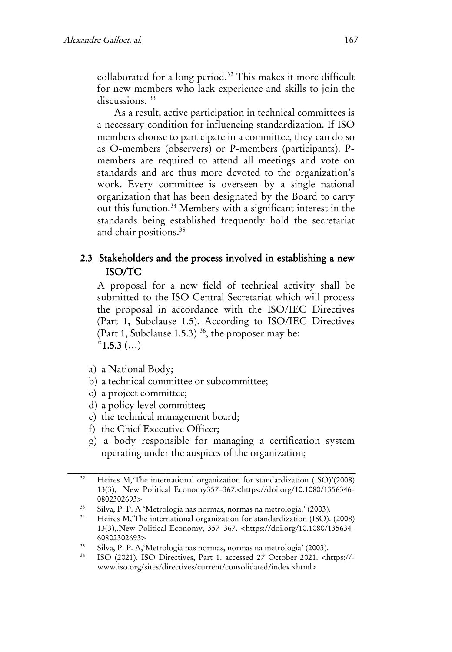collaborated for a long period.<sup>[32](#page-11-0)</sup> This makes it more difficult for new members who lack experience and skills to join the discussions.<sup>[33](#page-11-1)</sup>

As a result, active participation in technical committees is a necessary condition for influencing standardization. If ISO members choose to participate in a committee, they can do so as O-members (observers) or P-members (participants). Pmembers are required to attend all meetings and vote on standards and are thus more devoted to the organization's work. Every committee is overseen by a single national organization that has been designated by the Board to carry out this function.[34](#page-11-2) Members with a significant interest in the standards being established frequently hold the secretariat and chair positions.<sup>[35](#page-11-3)</sup>

## 2.3 Stakeholders and the process involved in establishing a new ISO/TC

A proposal for a new field of technical activity shall be submitted to the ISO Central Secretariat which will process the proposal in accordance with the ISO/IEC Directives (Part 1, Subclause 1.5). According to ISO/IEC Directives (Part 1, Subclause 1.5.3)<sup>[36](#page-11-4)</sup>, the proposer may be:  $"1.5.3$  (...)

- a) a National Body;
- b) a technical committee or subcommittee;
- c) a project committee;
- d) a policy level committee;
- e) the technical management board;
- f) the Chief Executive Officer;
- g) a body responsible for managing a certification system operating under the auspices of the organization;

<span id="page-11-0"></span><sup>32</sup> Heires M,'The international organization for standardization (ISO)'(2008) 13(3), New Political Economy357–367.<https://doi.org/10.1080/1356346- 0802302693>

<span id="page-11-2"></span><span id="page-11-1"></span><sup>&</sup>lt;sup>33</sup> Silva, P. P. A 'Metrologia nas normas, normas na metrologia.' (2003).<br><sup>34</sup> Heiras M 'The international organization for standardization (ISO).

Heires M,'The international organization for standardization (ISO). (2008) 13(3),.New Political Economy, 357–367. <https://doi.org/10.1080/135634- 60802302693>

<span id="page-11-3"></span><sup>35</sup> Silva, P. P. A,'Metrologia nas normas, normas na metrologia' (2003).

<span id="page-11-4"></span><sup>36</sup> ISO (2021). ISO Directives, Part 1. accessed 27 October 2021. <https:// www.iso.org/sites/directives/current/consolidated/index.xhtml>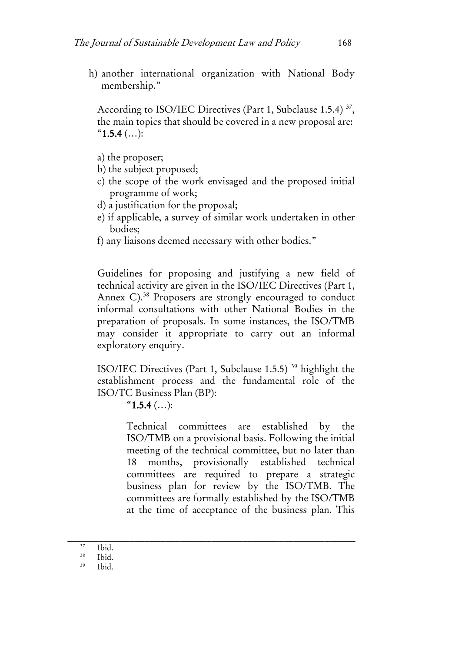h) another international organization with National Body membership."

According to ISO/IEC Directives (Part 1, Subclause 1.5.4)<sup>[37](#page-12-0)</sup>, the main topics that should be covered in a new proposal are:  $"1.5.4$  (...):

- a) the proposer;
- b) the subject proposed;
- c) the scope of the work envisaged and the proposed initial programme of work;
- d) a justification for the proposal;
- e) if applicable, a survey of similar work undertaken in other bodies;
- f) any liaisons deemed necessary with other bodies."

Guidelines for proposing and justifying a new field of technical activity are given in the ISO/IEC Directives (Part 1, Annex C).<sup>[38](#page-12-1)</sup> Proposers are strongly encouraged to conduct informal consultations with other National Bodies in the preparation of proposals. In some instances, the ISO/TMB may consider it appropriate to carry out an informal exploratory enquiry.

ISO/IEC Directives (Part 1, Subclause 1.5.5) [39](#page-12-2) highlight the establishment process and the fundamental role of the ISO/TC Business Plan (BP):

 $"1.5.4$  (...):

Technical committees are established by the ISO/TMB on a provisional basis. Following the initial meeting of the technical committee, but no later than 18 months, provisionally established technical committees are required to prepare a strategic business plan for review by the ISO/TMB. The committees are formally established by the ISO/TMB at the time of acceptance of the business plan. This

<span id="page-12-2"></span><span id="page-12-1"></span><span id="page-12-0"></span>\_\_\_\_\_\_\_\_\_\_\_\_\_\_\_\_\_\_\_\_\_\_\_\_\_\_\_\_\_\_\_\_\_\_\_\_\_\_\_\_\_\_\_\_\_\_\_\_\_\_\_\_\_\_\_\_  $37$  Ibid.

 $38$  Ibid.

Ibid.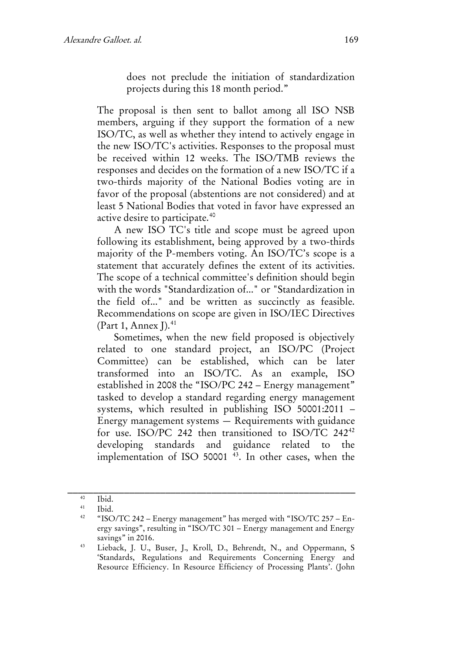does not preclude the initiation of standardization projects during this 18 month period."

The proposal is then sent to ballot among all ISO NSB members, arguing if they support the formation of a new ISO/TC, as well as whether they intend to actively engage in the new ISO/TC's activities. Responses to the proposal must be received within 12 weeks. The ISO/TMB reviews the responses and decides on the formation of a new ISO/TC if a two-thirds majority of the National Bodies voting are in favor of the proposal (abstentions are not considered) and at least 5 National Bodies that voted in favor have expressed an active desire to participate.[40](#page-13-0)

A new ISO TC's title and scope must be agreed upon following its establishment, being approved by a two-thirds majority of the P-members voting. An ISO/TC's scope is a statement that accurately defines the extent of its activities. The scope of a technical committee's definition should begin with the words "Standardization of..." or "Standardization in the field of..." and be written as succinctly as feasible. Recommendations on scope are given in ISO/IEC Directives (Part 1, Annex  $I$ ).<sup>[41](#page-13-1)</sup>

Sometimes, when the new field proposed is objectively related to one standard project, an ISO/PC (Project Committee) can be established, which can be later transformed into an ISO/TC. As an example, ISO established in 2008 the "ISO/PC 242 – Energy management" tasked to develop a standard regarding energy management systems, which resulted in publishing ISO 50001:2011 – Energy management systems — Requirements with guidance for use. ISO/PC 2[42](#page-13-2) then transitioned to ISO/TC 242<sup>42</sup> developing standards and guidance related to the implementation of ISO 50001 [43.](#page-13-3) In other cases, when the

<span id="page-13-2"></span><span id="page-13-1"></span><span id="page-13-0"></span>\_\_\_\_\_\_\_\_\_\_\_\_\_\_\_\_\_\_\_\_\_\_\_\_\_\_\_\_\_\_\_\_\_\_\_\_\_\_\_\_\_\_\_\_\_\_\_\_\_\_\_\_\_\_\_\_ <sup>40</sup> Ibid.

 $\frac{41}{42}$  Ibid.

<sup>42</sup> "ISO/TC 242 – Energy management" has merged with "ISO/TC 257 – Energy savings", resulting in "ISO/TC 301 – Energy management and Energy savings" in 2016.

<span id="page-13-3"></span><sup>43</sup> Lieback, J. U., Buser, J., Kroll, D., Behrendt, N., and Oppermann, S 'Standards, Regulations and Requirements Concerning Energy and Resource Efficiency. In Resource Efficiency of Processing Plants'. (John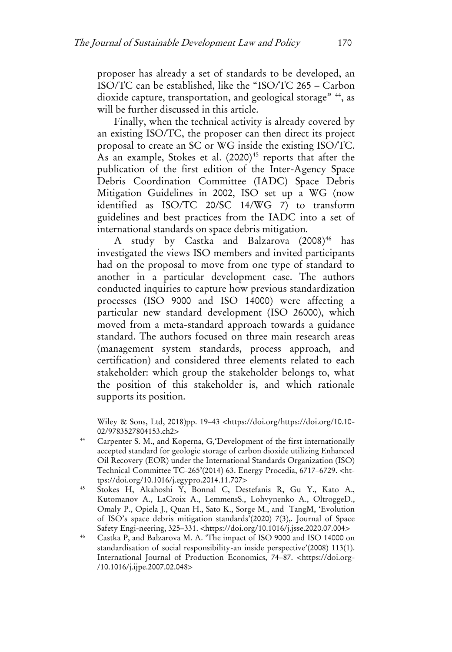proposer has already a set of standards to be developed, an ISO/TC can be established, like the "ISO/TC 265 – Carbon dioxide capture, transportation, and geological storage" [44,](#page-14-0) as will be further discussed in this article.

Finally, when the technical activity is already covered by an existing ISO/TC, the proposer can then direct its project proposal to create an SC or WG inside the existing ISO/TC. As an example, Stokes et al.  $(2020)^{45}$  $(2020)^{45}$  $(2020)^{45}$  reports that after the publication of the first edition of the Inter-Agency Space Debris Coordination Committee (IADC) Space Debris Mitigation Guidelines in 2002, ISO set up a WG (now identified as ISO/TC 20/SC 14/WG 7) to transform guidelines and best practices from the IADC into a set of international standards on space debris mitigation.

A study by Castka and Balzarova (2008)<sup>[46](#page-14-2)</sup> has investigated the views ISO members and invited participants had on the proposal to move from one type of standard to another in a particular development case. The authors conducted inquiries to capture how previous standardization processes (ISO 9000 and ISO 14000) were affecting a particular new standard development (ISO 26000), which moved from a meta-standard approach towards a guidance standard. The authors focused on three main research areas (management system standards, process approach, and certification) and considered three elements related to each stakeholder: which group the stakeholder belongs to, what the position of this stakeholder is, and which rationale supports its position.

Wiley & Sons, Ltd, 2018)pp. 19–43 <https://doi.org/https://doi.org/10.10- 02/9783527804153.ch2>

- <span id="page-14-0"></span><sup>44</sup> Carpenter S. M., and Koperna, G,'Development of the first internationally accepted standard for geologic storage of carbon dioxide utilizing Enhanced Oil Recovery (EOR) under the International Standards Organization (ISO) Technical Committee TC-265'(2014) 63. Energy Procedia, 6717–6729. <https://doi.org/10.1016/j.egypro.2014.11.707>
- <span id="page-14-1"></span><sup>45</sup> Stokes H, Akahoshi Y, Bonnal C, Destefanis R, Gu Y., Kato A., Kutomanov A., LaCroix A., LemmensS., Lohvynenko A., OltroggeD., Omaly P., Opiela J., Quan H., Sato K., Sorge M., and TangM, 'Evolution of ISO's space debris mitigation standards'(2020) 7(3),. Journal of Space Safety Engi-neering, 325–331. <https://doi.org/10.1016/j.jsse.2020.07.004>
- <span id="page-14-2"></span><sup>46</sup> Castka P, and Balzarova M. A. 'The impact of ISO 9000 and ISO 14000 on standardisation of social responsibility-an inside perspective'(2008) 113(1). International Journal of Production Economics, 74–87. <https://doi.org- /10.1016/j.ijpe.2007.02.048>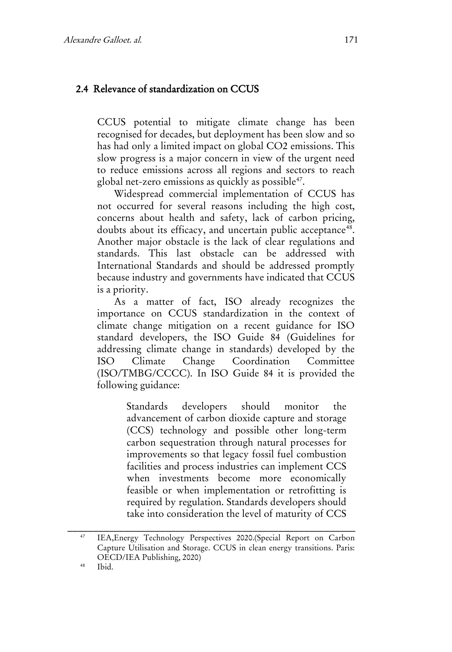#### 2.4 Relevance of standardization on CCUS

CCUS potential to mitigate climate change has been recognised for decades, but deployment has been slow and so has had only a limited impact on global CO2 emissions. This slow progress is a major concern in view of the urgent need to reduce emissions across all regions and sectors to reach global net-zero emissions as quickly as possible<sup>[47](#page-15-0)</sup>.

Widespread commercial implementation of CCUS has not occurred for several reasons including the high cost, concerns about health and safety, lack of carbon pricing, doubts about its efficacy, and uncertain public acceptance<sup>[48](#page-15-1)</sup>. Another major obstacle is the lack of clear regulations and standards. This last obstacle can be addressed with International Standards and should be addressed promptly because industry and governments have indicated that CCUS is a priority.

As a matter of fact, ISO already recognizes the importance on CCUS standardization in the context of climate change mitigation on a recent guidance for ISO standard developers, the ISO Guide 84 (Guidelines for addressing climate change in standards) developed by the ISO Climate Change Coordination Committee (ISO/TMBG/CCCC). In ISO Guide 84 it is provided the following guidance:

> Standards developers should monitor the advancement of carbon dioxide capture and storage (CCS) technology and possible other long-term carbon sequestration through natural processes for improvements so that legacy fossil fuel combustion facilities and process industries can implement CCS when investments become more economically feasible or when implementation or retrofitting is required by regulation. Standards developers should take into consideration the level of maturity of CCS

<span id="page-15-0"></span><sup>47</sup> IEA,Energy Technology Perspectives 2020.(Special Report on Carbon Capture Utilisation and Storage. CCUS in clean energy transitions. Paris: OECD/IEA Publishing, 2020)

<span id="page-15-1"></span>Ibid.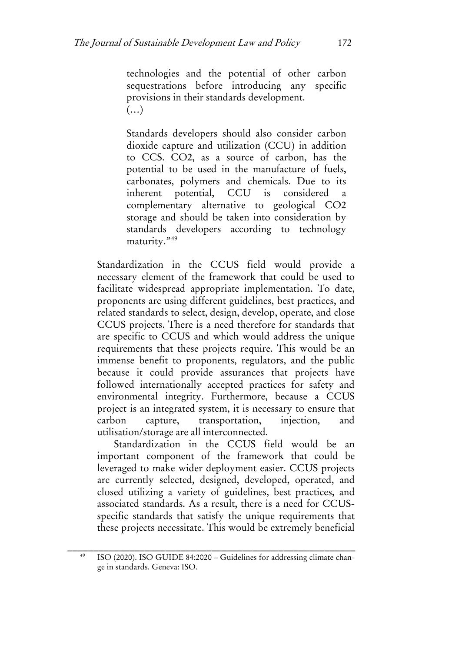technologies and the potential of other carbon sequestrations before introducing any specific provisions in their standards development.  $(\ldots)$ 

Standards developers should also consider carbon dioxide capture and utilization (CCU) in addition to CCS. CO2, as a source of carbon, has the potential to be used in the manufacture of fuels, carbonates, polymers and chemicals. Due to its inherent potential, CCU is considered complementary alternative to geological CO2 storage and should be taken into consideration by standards developers according to technology maturity."<sup>[49](#page-16-0)</sup>

Standardization in the CCUS field would provide a necessary element of the framework that could be used to facilitate widespread appropriate implementation. To date, proponents are using different guidelines, best practices, and related standards to select, design, develop, operate, and close CCUS projects. There is a need therefore for standards that are specific to CCUS and which would address the unique requirements that these projects require. This would be an immense benefit to proponents, regulators, and the public because it could provide assurances that projects have followed internationally accepted practices for safety and environmental integrity. Furthermore, because a CCUS project is an integrated system, it is necessary to ensure that carbon capture, transportation, injection, and utilisation/storage are all interconnected.

Standardization in the CCUS field would be an important component of the framework that could be leveraged to make wider deployment easier. CCUS projects are currently selected, designed, developed, operated, and closed utilizing a variety of guidelines, best practices, and associated standards. As a result, there is a need for CCUSspecific standards that satisfy the unique requirements that these projects necessitate. This would be extremely beneficial

<span id="page-16-0"></span>\_\_\_\_\_\_\_\_\_\_\_\_\_\_\_\_\_\_\_\_\_\_\_\_\_\_\_\_\_\_\_\_\_\_\_\_\_\_\_\_\_\_\_\_\_\_\_\_\_\_\_\_\_\_\_\_ ISO (2020). ISO GUIDE 84:2020 – Guidelines for addressing climate change in standards. Geneva: ISO.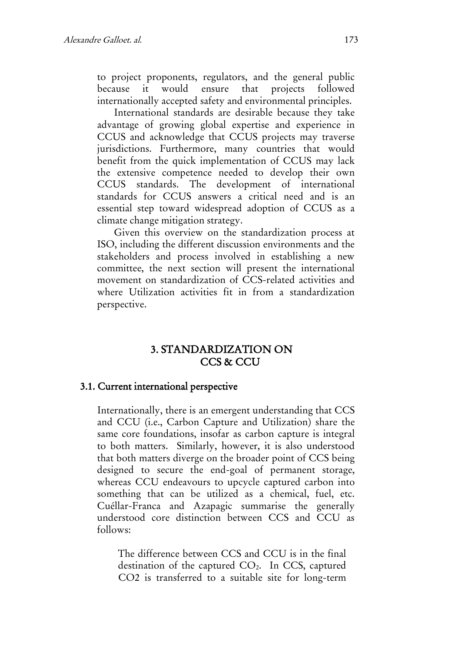to project proponents, regulators, and the general public because it would ensure that projects followed internationally accepted safety and environmental principles.

International standards are desirable because they take advantage of growing global expertise and experience in CCUS and acknowledge that CCUS projects may traverse jurisdictions. Furthermore, many countries that would benefit from the quick implementation of CCUS may lack the extensive competence needed to develop their own CCUS standards. The development of international standards for CCUS answers a critical need and is an essential step toward widespread adoption of CCUS as a climate change mitigation strategy.

Given this overview on the standardization process at ISO, including the different discussion environments and the stakeholders and process involved in establishing a new committee, the next section will present the international movement on standardization of CCS-related activities and where Utilization activities fit in from a standardization perspective.

## 3. STANDARDIZATION ON CCS & CCU

#### 3.1. Current international perspective

Internationally, there is an emergent understanding that CCS and CCU (i.e., Carbon Capture and Utilization) share the same core foundations, insofar as carbon capture is integral to both matters. Similarly, however, it is also understood that both matters diverge on the broader point of CCS being designed to secure the end-goal of permanent storage, whereas CCU endeavours to upcycle captured carbon into something that can be utilized as a chemical, fuel, etc. Cuéllar-Franca and Azapagic summarise the generally understood core distinction between CCS and CCU as follows:

The difference between CCS and CCU is in the final destination of the captured CO2. In CCS, captured CO2 is transferred to a suitable site for long-term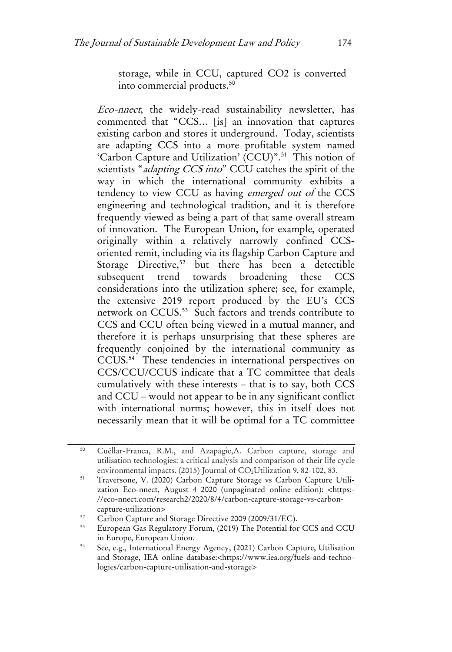storage, while in CCU, captured CO2 is converted into commercial products.[50](#page-18-0)

Eco-nnect, the widely-read sustainability newsletter, has commented that "CCS… [is] an innovation that captures existing carbon and stores it underground. Today, scientists are adapting CCS into a more profitable system named 'Carbon Capture and Utilization' (CCU)".[51](#page-18-1) This notion of scientists "*adapting CCS into*" CCU catches the spirit of the way in which the international community exhibits a tendency to view CCU as having emerged out of the CCS engineering and technological tradition, and it is therefore frequently viewed as being a part of that same overall stream of innovation. The European Union, for example, operated originally within a relatively narrowly confined CCSoriented remit, including via its flagship Carbon Capture and Storage Directive,<sup>[52](#page-18-2)</sup> but there has been a detectible subsequent trend towards broadening these CCS considerations into the utilization sphere; see, for example, the extensive 2019 report produced by the EU's CCS network on CCUS.[53](#page-18-3) Such factors and trends contribute to CCS and CCU often being viewed in a mutual manner, and therefore it is perhaps unsurprising that these spheres are frequently conjoined by the international community as CCUS.[54](#page-18-4) These tendencies in international perspectives on CCS/CCU/CCUS indicate that a TC committee that deals cumulatively with these interests – that is to say, both CCS and CCU – would not appear to be in any significant conflict with international norms; however, this in itself does not necessarily mean that it will be optimal for a TC committee

<span id="page-18-0"></span><sup>50</sup> Cuéllar-Franca, R.M., and Azapagic,A. Carbon capture, storage and utilisation technologies: a critical analysis and comparison of their life cycle environmental impacts. (2015) Journal of CO<sub>2</sub>Utilization 9, 82-102, 83.

<span id="page-18-1"></span><sup>51</sup> Traversone, V. (2020) Carbon Capture Storage vs Carbon Capture Utilization Eco-nnect, August 4 2020 (unpaginated online edition): [<https:-](https://eco-nnect.com/research2/2020/8/4/carbon-capture-storage-vs-carbon-capture-utilization) [//eco-nnect.com/research2/2020/8/4/carbon-capture-storage-vs-carbon](https://eco-nnect.com/research2/2020/8/4/carbon-capture-storage-vs-carbon-capture-utilization)[capture-utilization>](https://eco-nnect.com/research2/2020/8/4/carbon-capture-storage-vs-carbon-capture-utilization)

<span id="page-18-3"></span><span id="page-18-2"></span> $52$  Carbon Capture and Storage Directive 2009 (2009/31/EC).

<sup>53</sup> European Gas Regulatory Forum, (2019) The Potential for CCS and CCU in Europe, European Union.

<span id="page-18-4"></span><sup>54</sup> See, e.g., International Energy Agency, (2021) Carbon Capture, Utilisation and Storage, IEA online database:<https://www.iea.org/fuels-and-technologies/carbon-capture-utilisation-and-storage>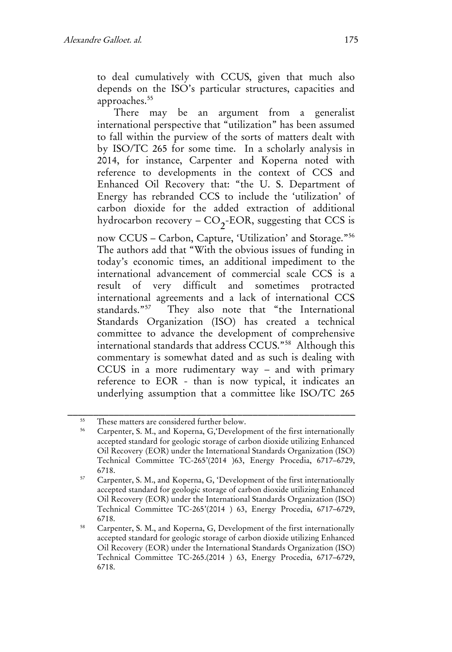to deal cumulatively with CCUS, given that much also depends on the ISO's particular structures, capacities and approaches.<sup>[55](#page-19-0)</sup>

There may be an argument from a generalist international perspective that "utilization" has been assumed to fall within the purview of the sorts of matters dealt with by ISO/TC 265 for some time. In a scholarly analysis in 2014, for instance, Carpenter and Koperna noted with reference to developments in the context of CCS and Enhanced Oil Recovery that: "the U. S. Department of Energy has rebranded CCS to include the 'utilization' of carbon dioxide for the added extraction of additional hydrocarbon recovery –  $\mathrm{CO}_2\text{-EOR},$  suggesting that CCS is

now CCUS – Carbon, Capture, 'Utilization' and Storage."[56](#page-19-1) The authors add that "With the obvious issues of funding in today's economic times, an additional impediment to the international advancement of commercial scale CCS is a result of very difficult and sometimes protracted international agreements and a lack of international CCS standards."[57](#page-19-2) They also note that "the International Standards Organization (ISO) has created a technical committee to advance the development of comprehensive international standards that address CCUS."[58](#page-19-3) Although this commentary is somewhat dated and as such is dealing with CCUS in a more rudimentary way – and with primary reference to EOR - than is now typical, it indicates an underlying assumption that a committee like ISO/TC 265

<span id="page-19-1"></span><span id="page-19-0"></span><sup>&</sup>lt;sup>55</sup> These matters are considered further below.<br> $\frac{56}{2}$  Converter  $\frac{5}{2}$  M and Kanama C Davelary

<sup>56</sup> Carpenter, S. M., and Koperna, G,'Development of the first internationally accepted standard for geologic storage of carbon dioxide utilizing Enhanced Oil Recovery (EOR) under the International Standards Organization (ISO) Technical Committee TC-265'(2014 )63, Energy Procedia, 6717–6729, 6718.

<span id="page-19-2"></span><sup>57</sup> Carpenter, S. M., and Koperna, G, 'Development of the first internationally accepted standard for geologic storage of carbon dioxide utilizing Enhanced Oil Recovery (EOR) under the International Standards Organization (ISO) Technical Committee TC-265'(2014 ) 63, Energy Procedia, 6717–6729, 6718.

<span id="page-19-3"></span><sup>58</sup> Carpenter, S. M., and Koperna, G, Development of the first internationally accepted standard for geologic storage of carbon dioxide utilizing Enhanced Oil Recovery (EOR) under the International Standards Organization (ISO) Technical Committee TC-265.(2014 ) 63, Energy Procedia, 6717–6729, 6718.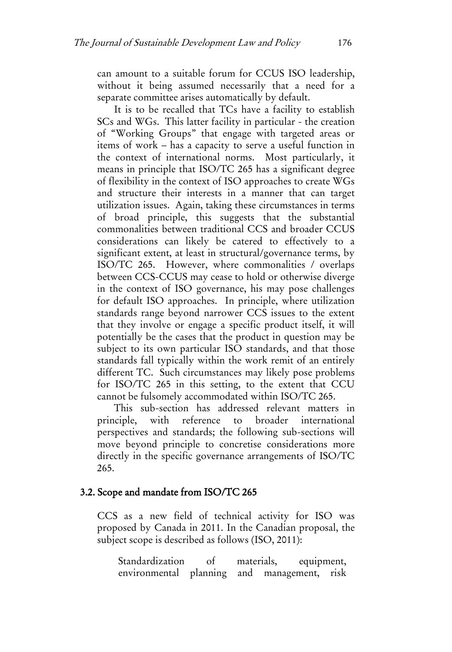can amount to a suitable forum for CCUS ISO leadership, without it being assumed necessarily that a need for a separate committee arises automatically by default.

It is to be recalled that TCs have a facility to establish SCs and WGs. This latter facility in particular - the creation of "Working Groups" that engage with targeted areas or items of work – has a capacity to serve a useful function in the context of international norms. Most particularly, it means in principle that ISO/TC 265 has a significant degree of flexibility in the context of ISO approaches to create WGs and structure their interests in a manner that can target utilization issues. Again, taking these circumstances in terms of broad principle, this suggests that the substantial commonalities between traditional CCS and broader CCUS considerations can likely be catered to effectively to a significant extent, at least in structural/governance terms, by ISO/TC 265. However, where commonalities / overlaps between CCS-CCUS may cease to hold or otherwise diverge in the context of ISO governance, his may pose challenges for default ISO approaches. In principle, where utilization standards range beyond narrower CCS issues to the extent that they involve or engage a specific product itself, it will potentially be the cases that the product in question may be subject to its own particular ISO standards, and that those standards fall typically within the work remit of an entirely different TC. Such circumstances may likely pose problems for ISO/TC 265 in this setting, to the extent that CCU cannot be fulsomely accommodated within ISO/TC 265.

This sub-section has addressed relevant matters in principle, with reference to broader international perspectives and standards; the following sub-sections will move beyond principle to concretise considerations more directly in the specific governance arrangements of ISO/TC 265.

#### 3.2. Scope and mandate from ISO/TC 265

CCS as a new field of technical activity for ISO was proposed by Canada in 2011. In the Canadian proposal, the subject scope is described as follows (ISO, 2011):

Standardization of materials, equipment, environmental planning and management, risk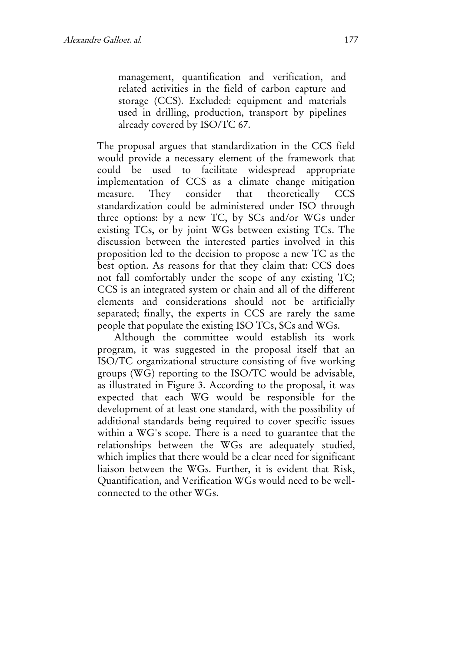management, quantification and verification, and related activities in the field of carbon capture and storage (CCS). Excluded: equipment and materials used in drilling, production, transport by pipelines already covered by ISO/TC 67.

The proposal argues that standardization in the CCS field would provide a necessary element of the framework that could be used to facilitate widespread appropriate implementation of CCS as a climate change mitigation measure. They consider that theoretically CCS standardization could be administered under ISO through three options: by a new TC, by SCs and/or WGs under existing TCs, or by joint WGs between existing TCs. The discussion between the interested parties involved in this proposition led to the decision to propose a new TC as the best option. As reasons for that they claim that: CCS does not fall comfortably under the scope of any existing TC; CCS is an integrated system or chain and all of the different elements and considerations should not be artificially separated; finally, the experts in CCS are rarely the same people that populate the existing ISO TCs, SCs and WGs.

Although the committee would establish its work program, it was suggested in the proposal itself that an ISO/TC organizational structure consisting of five working groups (WG) reporting to the ISO/TC would be advisable, as illustrated in Figure 3. According to the proposal, it was expected that each WG would be responsible for the development of at least one standard, with the possibility of additional standards being required to cover specific issues within a WG's scope. There is a need to guarantee that the relationships between the WGs are adequately studied, which implies that there would be a clear need for significant liaison between the WGs. Further, it is evident that Risk, Quantification, and Verification WGs would need to be wellconnected to the other WGs.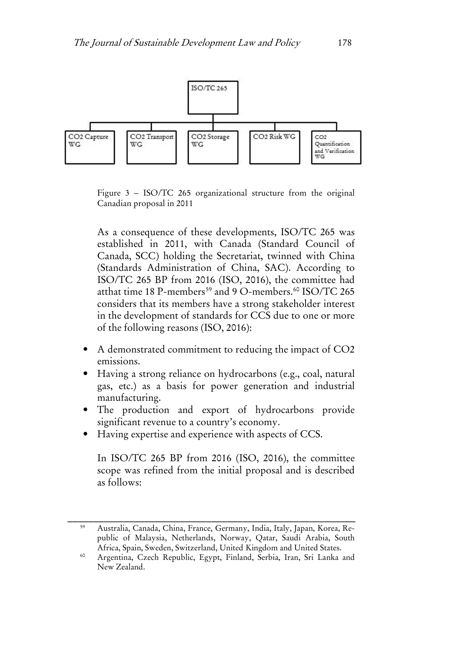

Figure 3 – ISO/TC 265 organizational structure from the original Canadian proposal in 2011

As a consequence of these developments, ISO/TC 265 was established in 2011, with Canada (Standard Council of Canada, SCC) holding the Secretariat, twinned with China (Standards Administration of China, SAC). According to ISO/TC 265 BP from 2016 (ISO, 2016), the committee had atthat time 18 P-members<sup>[59](#page-22-0)</sup> and 9 O-members.<sup>[60](#page-22-1)</sup> ISO/TC 265 considers that its members have a strong stakeholder interest in the development of standards for CCS due to one or more of the following reasons (ISO, 2016):

- A demonstrated commitment to reducing the impact of CO2 emissions.
- Having a strong reliance on hydrocarbons (e.g., coal, natural gas, etc.) as a basis for power generation and industrial manufacturing.
- The production and export of hydrocarbons provide significant revenue to a country's economy.
- Having expertise and experience with aspects of CCS.

In ISO/TC 265 BP from 2016 (ISO, 2016), the committee scope was refined from the initial proposal and is described as follows:

<span id="page-22-0"></span><sup>59</sup> Australia, Canada, China, France, Germany, India, Italy, Japan, Korea, Republic of Malaysia, Netherlands, Norway, Qatar, Saudi Arabia, South Africa, Spain, Sweden, Switzerland, United Kingdom and United States.

<span id="page-22-1"></span><sup>60</sup> Argentina, Czech Republic, Egypt, Finland, Serbia, Iran, Sri Lanka and New Zealand.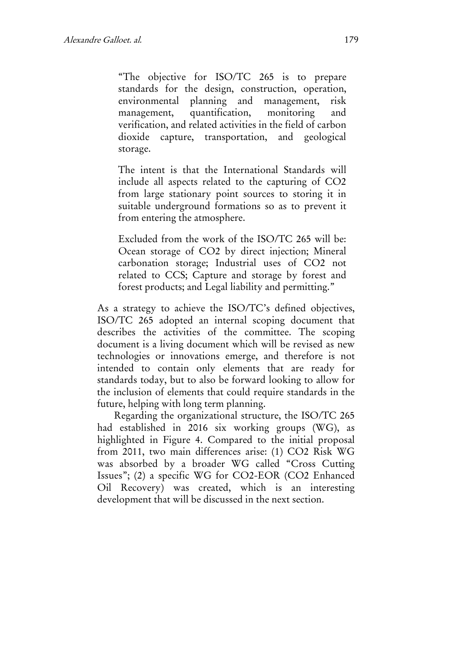"The objective for ISO/TC 265 is to prepare standards for the design, construction, operation, environmental planning and management, risk management, quantification, monitoring and verification, and related activities in the field of carbon dioxide capture, transportation, and geological storage.

The intent is that the International Standards will include all aspects related to the capturing of CO2 from large stationary point sources to storing it in suitable underground formations so as to prevent it from entering the atmosphere.

Excluded from the work of the ISO/TC 265 will be: Ocean storage of CO2 by direct injection; Mineral carbonation storage; Industrial uses of CO2 not related to CCS; Capture and storage by forest and forest products; and Legal liability and permitting."

As a strategy to achieve the ISO/TC's defined objectives, ISO/TC 265 adopted an internal scoping document that describes the activities of the committee. The scoping document is a living document which will be revised as new technologies or innovations emerge, and therefore is not intended to contain only elements that are ready for standards today, but to also be forward looking to allow for the inclusion of elements that could require standards in the future, helping with long term planning.

Regarding the organizational structure, the ISO/TC 265 had established in 2016 six working groups (WG), as highlighted in Figure 4. Compared to the initial proposal from 2011, two main differences arise: (1) CO2 Risk WG was absorbed by a broader WG called "Cross Cutting Issues"; (2) a specific WG for CO2-EOR (CO2 Enhanced Oil Recovery) was created, which is an interesting development that will be discussed in the next section.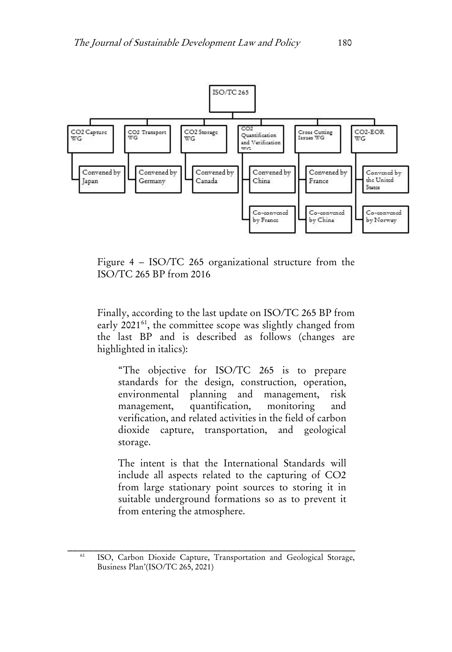

Figure 4 – ISO/TC 265 organizational structure from the ISO/TC 265 BP from 2016

Finally, according to the last update on ISO/TC 265 BP from early 2021<sup>61</sup>, the committee scope was slightly changed from the last BP and is described as follows (changes are highlighted in italics):

"The objective for ISO/TC 265 is to prepare standards for the design, construction, operation, environmental planning and management, risk management, quantification, monitoring and verification, and related activities in the field of carbon dioxide capture, transportation, and geological storage.

The intent is that the International Standards will include all aspects related to the capturing of CO2 from large stationary point sources to storing it in suitable underground formations so as to prevent it from entering the atmosphere.

<span id="page-24-0"></span><sup>&</sup>lt;sup>61</sup> ISO, Carbon Dioxide Capture, Transportation and Geological Storage, Business Plan'(ISO/TC 265, 2021)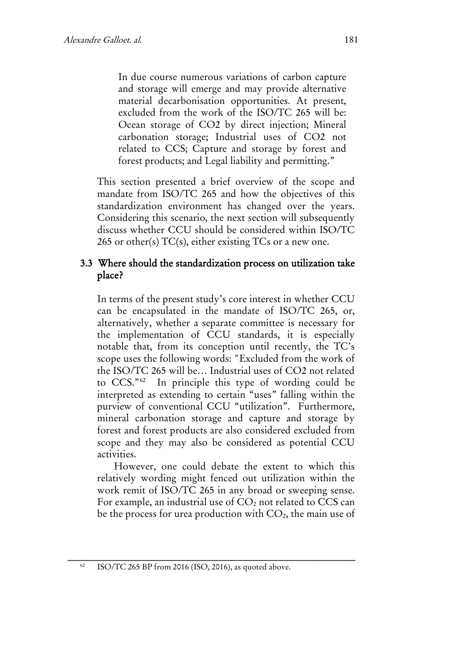In due course numerous variations of carbon capture and storage will emerge and may provide alternative material decarbonisation opportunities. At present, excluded from the work of the ISO/TC 265 will be: Ocean storage of CO2 by direct injection; Mineral carbonation storage; Industrial uses of CO2 not related to CCS; Capture and storage by forest and forest products; and Legal liability and permitting."

This section presented a brief overview of the scope and mandate from ISO/TC 265 and how the objectives of this standardization environment has changed over the years. Considering this scenario, the next section will subsequently discuss whether CCU should be considered within ISO/TC 265 or other(s)  $TC(s)$ , either existing  $TCs$  or a new one.

### 3.3 Where should the standardization process on utilization take place?

In terms of the present study's core interest in whether CCU can be encapsulated in the mandate of ISO/TC 265, or, alternatively, whether a separate committee is necessary for the implementation of CCU standards, it is especially notable that, from its conception until recently, the TC's scope uses the following words: "Excluded from the work of the ISO/TC 265 will be… Industrial uses of CO2 not related to CCS."[62](#page-25-0) In principle this type of wording could be interpreted as extending to certain "uses" falling within the purview of conventional CCU "utilization". Furthermore, mineral carbonation storage and capture and storage by forest and forest products are also considered excluded from scope and they may also be considered as potential CCU activities.

<span id="page-25-0"></span>However, one could debate the extent to which this relatively wording might fenced out utilization within the work remit of ISO/TC 265 in any broad or sweeping sense. For example, an industrial use of  $CO<sub>2</sub>$  not related to  $CCS$  can be the process for urea production with  $CO<sub>2</sub>$ , the main use of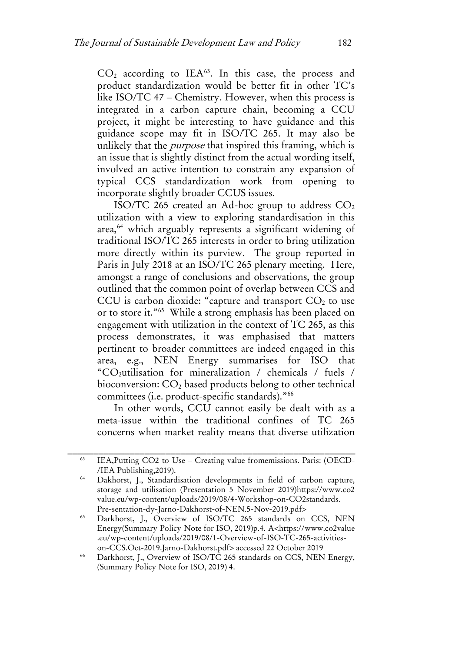$CO<sub>2</sub>$  according to IEA<sup>[63](#page-26-0)</sup>. In this case, the process and product standardization would be better fit in other TC's like ISO/TC 47 – Chemistry. However, when this process is integrated in a carbon capture chain, becoming a CCU project, it might be interesting to have guidance and this guidance scope may fit in ISO/TC 265. It may also be unlikely that the *purpose* that inspired this framing, which is an issue that is slightly distinct from the actual wording itself, involved an active intention to constrain any expansion of typical CCS standardization work from opening to incorporate slightly broader CCUS issues.

ISO/TC 265 created an Ad-hoc group to address  $CO<sub>2</sub>$ utilization with a view to exploring standardisation in this area,<sup>[64](#page-26-1)</sup> which arguably represents a significant widening of traditional ISO/TC 265 interests in order to bring utilization more directly within its purview. The group reported in Paris in July 2018 at an ISO/TC 265 plenary meeting. Here, amongst a range of conclusions and observations, the group outlined that the common point of overlap between CCS and CCU is carbon dioxide: "capture and transport  $CO<sub>2</sub>$  to use or to store it."[65](#page-26-2) While a strong emphasis has been placed on engagement with utilization in the context of TC 265, as this process demonstrates, it was emphasised that matters pertinent to broader committees are indeed engaged in this area, e.g., NEN Energy summarises for ISO that "CO2utilisation for mineralization / chemicals / fuels / bioconversion: CO2 based products belong to other technical committees (i.e. product-specific standards).["66](#page-26-3)

In other words, CCU cannot easily be dealt with as a meta-issue within the traditional confines of TC 265 concerns when market reality means that diverse utilization

<span id="page-26-0"></span><sup>63</sup> IEA,Putting CO2 to Use – Creating value fromemissions. Paris: (OECD- /IEA Publishing,2019).

<span id="page-26-1"></span><sup>64</sup> Dakhorst, J., Standardisation developments in field of carbon capture, storage and utilisation (Presentation 5 November 2019)https://www.co2 value.eu/wp-content/uploads/2019/08/4-Workshop-on-CO2standards. Pre-sentation-dy-Jarno-Dakhorst-of-NEN.5-Nov-2019.pdf>

<span id="page-26-2"></span><sup>&</sup>lt;sup>65</sup> Darkhorst, J., Overview of ISO/TC 265 standards on CCS, NEN Energy(Summary Policy Note for ISO, 2019)p.4. A<https://www.co2value .eu/wp-content/uploads/2019/08/1-Overview-of-ISO-TC-265-activitieson-CCS.Oct-2019.Jarno-Dakhorst.pdf> accessed 22 October 2019

<span id="page-26-3"></span><sup>66</sup> Darkhorst, J., Overview of ISO/TC 265 standards on CCS, NEN Energy, (Summary Policy Note for ISO, 2019) 4.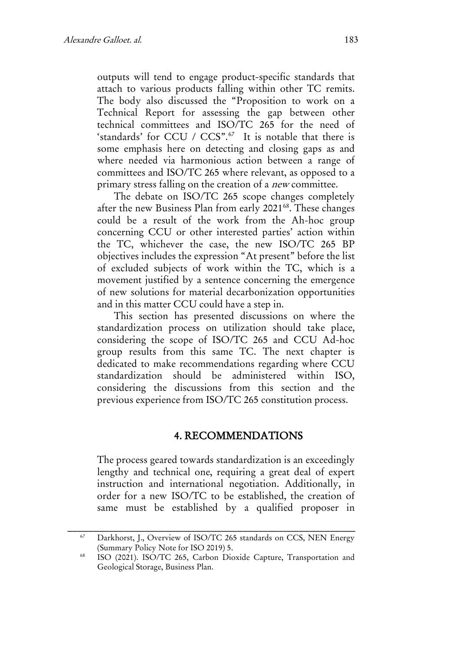outputs will tend to engage product-specific standards that attach to various products falling within other TC remits. The body also discussed the "Proposition to work on a Technical Report for assessing the gap between other technical committees and ISO/TC 265 for the need of 'standards' for CCU / CCS".<sup>67</sup> It is notable that there is some emphasis here on detecting and closing gaps as and where needed via harmonious action between a range of committees and ISO/TC 265 where relevant, as opposed to a primary stress falling on the creation of a new committee.

The debate on ISO/TC 265 scope changes completely after the new Business Plan from early 2021<sup>[68](#page-27-1)</sup>. These changes could be a result of the work from the Ah-hoc group concerning CCU or other interested parties' action within the TC, whichever the case, the new ISO/TC 265 BP objectives includes the expression "At present" before the list of excluded subjects of work within the TC, which is a movement justified by a sentence concerning the emergence of new solutions for material decarbonization opportunities and in this matter CCU could have a step in.

This section has presented discussions on where the standardization process on utilization should take place, considering the scope of ISO/TC 265 and CCU Ad-hoc group results from this same TC. The next chapter is dedicated to make recommendations regarding where CCU standardization should be administered within ISO, considering the discussions from this section and the previous experience from ISO/TC 265 constitution process.

#### 4. RECOMMENDATIONS

The process geared towards standardization is an exceedingly lengthy and technical one, requiring a great deal of expert instruction and international negotiation. Additionally, in order for a new ISO/TC to be established, the creation of same must be established by a qualified proposer in

<span id="page-27-0"></span><sup>&</sup>lt;sup>67</sup> Darkhorst, J., Overview of ISO/TC 265 standards on CCS, NEN Energy (Summary Policy Note for ISO 2019) 5.

<span id="page-27-1"></span><sup>68</sup> ISO (2021). ISO/TC 265, Carbon Dioxide Capture, Transportation and Geological Storage, Business Plan.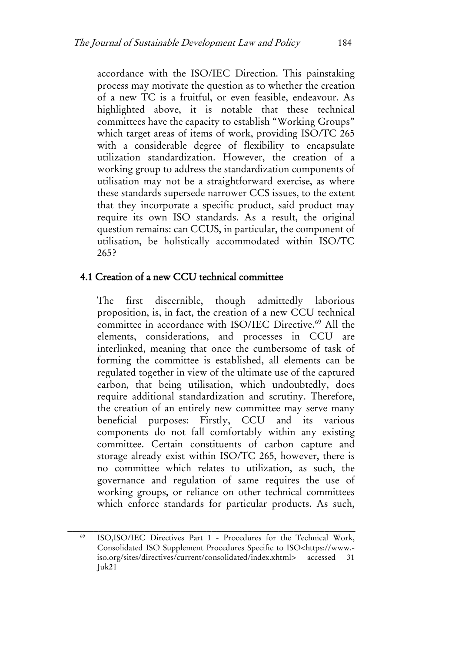accordance with the ISO/IEC Direction. This painstaking process may motivate the question as to whether the creation of a new TC is a fruitful, or even feasible, endeavour. As highlighted above, it is notable that these technical committees have the capacity to establish "Working Groups" which target areas of items of work, providing ISO/TC 265 with a considerable degree of flexibility to encapsulate utilization standardization. However, the creation of a working group to address the standardization components of utilisation may not be a straightforward exercise, as where these standards supersede narrower CCS issues, to the extent that they incorporate a specific product, said product may require its own ISO standards. As a result, the original question remains: can CCUS, in particular, the component of utilisation, be holistically accommodated within ISO/TC 265?

#### 4.1 Creation of a new CCU technical committee

The first discernible, though admittedly laborious proposition, is, in fact, the creation of a new CCU technical committee in accordance with ISO/IEC Directive.<sup>[69](#page-28-0)</sup> All the elements, considerations, and processes in CCU are interlinked, meaning that once the cumbersome of task of forming the committee is established, all elements can be regulated together in view of the ultimate use of the captured carbon, that being utilisation, which undoubtedly, does require additional standardization and scrutiny. Therefore, the creation of an entirely new committee may serve many beneficial purposes: Firstly, CCU and its various components do not fall comfortably within any existing committee. Certain constituents of carbon capture and storage already exist within ISO/TC 265, however, there is no committee which relates to utilization, as such, the governance and regulation of same requires the use of working groups, or reliance on other technical committees which enforce standards for particular products. As such,

<span id="page-28-0"></span><sup>&</sup>lt;sup>69</sup> ISO,ISO/IEC Directives Part 1 - Procedures for the Technical Work, Consolidated ISO Supplement Procedures Specific to ISO<https://www. iso.org/sites/directives/current/consolidated/index.xhtml> accessed 31 Juk21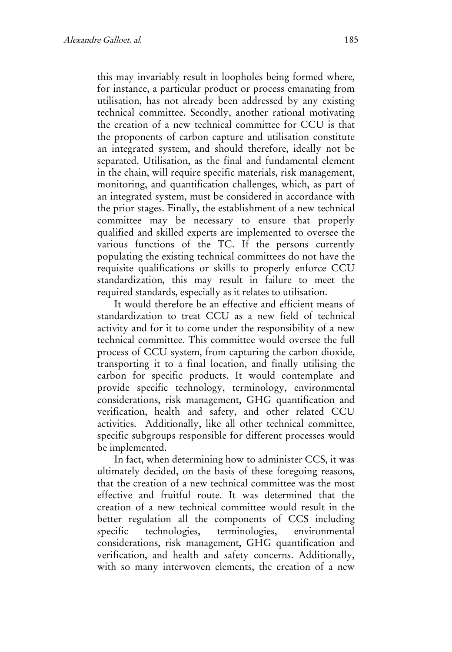this may invariably result in loopholes being formed where, for instance, a particular product or process emanating from utilisation, has not already been addressed by any existing technical committee. Secondly, another rational motivating the creation of a new technical committee for CCU is that the proponents of carbon capture and utilisation constitute an integrated system, and should therefore, ideally not be separated. Utilisation, as the final and fundamental element in the chain, will require specific materials, risk management, monitoring, and quantification challenges, which, as part of an integrated system, must be considered in accordance with the prior stages. Finally, the establishment of a new technical committee may be necessary to ensure that properly qualified and skilled experts are implemented to oversee the various functions of the TC. If the persons currently populating the existing technical committees do not have the requisite qualifications or skills to properly enforce CCU standardization, this may result in failure to meet the required standards, especially as it relates to utilisation.

It would therefore be an effective and efficient means of standardization to treat CCU as a new field of technical activity and for it to come under the responsibility of a new technical committee. This committee would oversee the full process of CCU system, from capturing the carbon dioxide, transporting it to a final location, and finally utilising the carbon for specific products. It would contemplate and provide specific technology, terminology, environmental considerations, risk management, GHG quantification and verification, health and safety, and other related CCU activities. Additionally, like all other technical committee, specific subgroups responsible for different processes would be implemented.

In fact, when determining how to administer CCS, it was ultimately decided, on the basis of these foregoing reasons, that the creation of a new technical committee was the most effective and fruitful route. It was determined that the creation of a new technical committee would result in the better regulation all the components of CCS including specific technologies, terminologies, environmental considerations, risk management, GHG quantification and verification, and health and safety concerns. Additionally, with so many interwoven elements, the creation of a new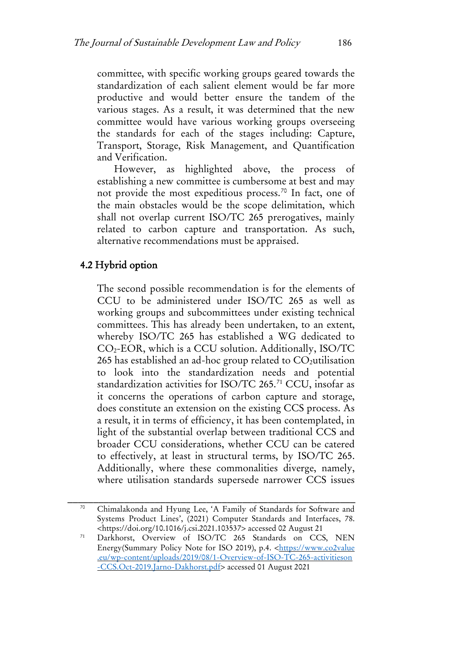committee, with specific working groups geared towards the standardization of each salient element would be far more productive and would better ensure the tandem of the various stages. As a result, it was determined that the new committee would have various working groups overseeing the standards for each of the stages including: Capture, Transport, Storage, Risk Management, and Quantification and Verification.

However, as highlighted above, the process of establishing a new committee is cumbersome at best and may not provide the most expeditious process.[70](#page-30-0) In fact, one of the main obstacles would be the scope delimitation, which shall not overlap current ISO/TC 265 prerogatives, mainly related to carbon capture and transportation. As such, alternative recommendations must be appraised.

## 4.2 Hybrid option

The second possible recommendation is for the elements of CCU to be administered under ISO/TC 265 as well as working groups and subcommittees under existing technical committees. This has already been undertaken, to an extent, whereby ISO/TC 265 has established a WG dedicated to CO2-EOR, which is a CCU solution. Additionally, ISO/TC 265 has established an ad-hoc group related to  $CO<sub>2</sub>$ utilisation to look into the standardization needs and potential standardization activities for ISO/TC 265.<sup>[71](#page-30-1)</sup> CCU, insofar as it concerns the operations of carbon capture and storage, does constitute an extension on the existing CCS process. As a result, it in terms of efficiency, it has been contemplated, in light of the substantial overlap between traditional CCS and broader CCU considerations, whether CCU can be catered to effectively, at least in structural terms, by ISO/TC 265. Additionally, where these commonalities diverge, namely, where utilisation standards supersede narrower CCS issues

<span id="page-30-0"></span><sup>70</sup> Chimalakonda and Hyung Lee, 'A Family of Standards for Software and Systems Product Lines', (2021) Computer Standards and Interfaces, 78. [<https://doi.org/10.1016/j.csi.2021.103537>](https://doi.org/10.1016/j.csi.2021.103537) accessed 02 August 21

<span id="page-30-1"></span><sup>71</sup> Darkhorst, Overview of ISO/TC 265 Standards on CCS, NEN Energy(Summary Policy Note for ISO 2019), p.4. <https://www.co2value .eu/wp-content/uploads/2019/08/1-Overview-of-ISO-TC-265-activitieson -CCS.Oct-2019.Jarno-Dakhorst.pdf> accessed 01 August 2021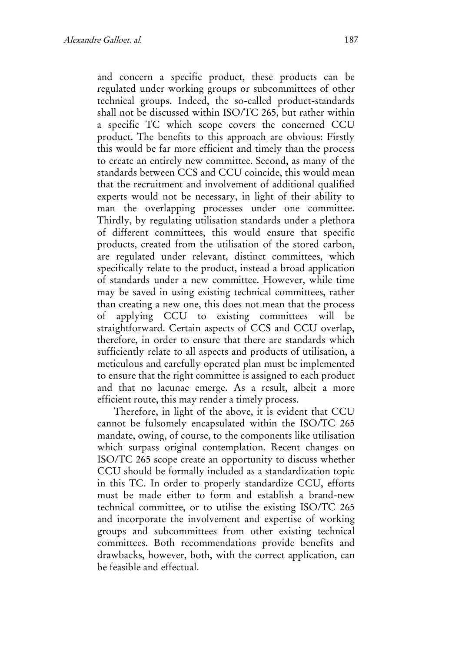and concern a specific product, these products can be regulated under working groups or subcommittees of other technical groups. Indeed, the so-called product-standards shall not be discussed within ISO/TC 265, but rather within a specific TC which scope covers the concerned CCU product. The benefits to this approach are obvious: Firstly this would be far more efficient and timely than the process to create an entirely new committee. Second, as many of the standards between CCS and CCU coincide, this would mean that the recruitment and involvement of additional qualified experts would not be necessary, in light of their ability to man the overlapping processes under one committee. Thirdly, by regulating utilisation standards under a plethora of different committees, this would ensure that specific products, created from the utilisation of the stored carbon, are regulated under relevant, distinct committees, which specifically relate to the product, instead a broad application of standards under a new committee. However, while time may be saved in using existing technical committees, rather than creating a new one, this does not mean that the process of applying CCU to existing committees will be straightforward. Certain aspects of CCS and CCU overlap, therefore, in order to ensure that there are standards which sufficiently relate to all aspects and products of utilisation, a meticulous and carefully operated plan must be implemented to ensure that the right committee is assigned to each product and that no lacunae emerge. As a result, albeit a more efficient route, this may render a timely process.

Therefore, in light of the above, it is evident that CCU cannot be fulsomely encapsulated within the ISO/TC 265 mandate, owing, of course, to the components like utilisation which surpass original contemplation. Recent changes on ISO/TC 265 scope create an opportunity to discuss whether CCU should be formally included as a standardization topic in this TC. In order to properly standardize CCU, efforts must be made either to form and establish a brand-new technical committee, or to utilise the existing ISO/TC 265 and incorporate the involvement and expertise of working groups and subcommittees from other existing technical committees. Both recommendations provide benefits and drawbacks, however, both, with the correct application, can be feasible and effectual.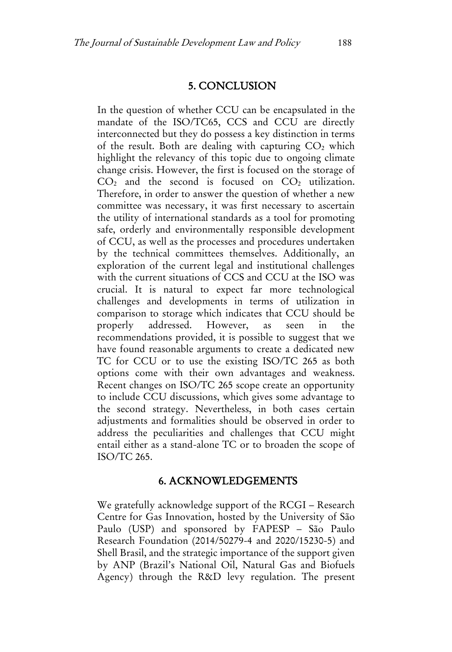#### 5. CONCLUSION

In the question of whether CCU can be encapsulated in the mandate of the ISO/TC65, CCS and CCU are directly interconnected but they do possess a key distinction in terms of the result. Both are dealing with capturing  $CO<sub>2</sub>$  which highlight the relevancy of this topic due to ongoing climate change crisis. However, the first is focused on the storage of  $CO<sub>2</sub>$  and the second is focused on  $CO<sub>2</sub>$  utilization. Therefore, in order to answer the question of whether a new committee was necessary, it was first necessary to ascertain the utility of international standards as a tool for promoting safe, orderly and environmentally responsible development of CCU, as well as the processes and procedures undertaken by the technical committees themselves. Additionally, an exploration of the current legal and institutional challenges with the current situations of CCS and CCU at the ISO was crucial. It is natural to expect far more technological challenges and developments in terms of utilization in comparison to storage which indicates that CCU should be properly addressed. However, as seen in the recommendations provided, it is possible to suggest that we have found reasonable arguments to create a dedicated new TC for CCU or to use the existing ISO/TC 265 as both options come with their own advantages and weakness. Recent changes on ISO/TC 265 scope create an opportunity to include CCU discussions, which gives some advantage to the second strategy. Nevertheless, in both cases certain adjustments and formalities should be observed in order to address the peculiarities and challenges that CCU might entail either as a stand-alone TC or to broaden the scope of ISO/TC 265.

#### 6. ACKNOWLEDGEMENTS

We gratefully acknowledge support of the RCGI – Research Centre for Gas Innovation, hosted by the University of São Paulo (USP) and sponsored by FAPESP – São Paulo Research Foundation (2014/50279-4 and 2020/15230-5) and Shell Brasil, and the strategic importance of the support given by ANP (Brazil's National Oil, Natural Gas and Biofuels Agency) through the R&D levy regulation. The present